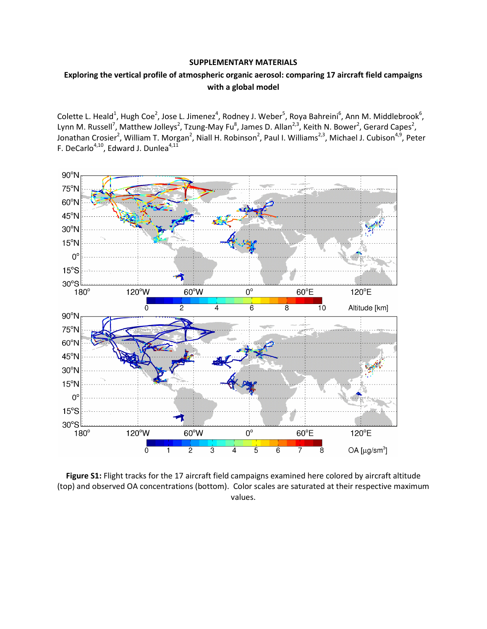## SUPPLEMENTARY MATERIALS

## Exploring the vertical profile of atmospheric organic aerosol: comparing 17 aircraft field campaigns with a global model

Colette L. Heald<sup>1</sup>, Hugh Coe<sup>2</sup>, Jose L. Jimenez<sup>4</sup>, Rodney J. Weber<sup>5</sup>, Roya Bahreini<sup>6</sup>, Ann M. Middlebrook<sup>6</sup>, Lynn M. Russell<sup>7</sup>, Matthew Jolleys<sup>2</sup>, Tzung-May Fu<sup>8</sup>, James D. Allan<sup>2,3</sup>, Keith N. Bower<sup>2</sup>, Gerard Capes<sup>2</sup>, Jonathan Crosier<sup>2</sup>, William T. Morgan<sup>2</sup>, Niall H. Robinson<sup>2</sup>, Paul I. Williams<sup>2,3</sup>, Michael J. Cubison<sup>4,9</sup>, Peter F. DeCarlo<sup>4,10</sup>, Edward J. Dunlea<sup>4,11</sup>



Figure S1: Flight tracks for the 17 aircraft field campaigns examined here colored by aircraft altitude (top) and observed OA concentrations (bottom). Color scales are saturated at their respective maximum values.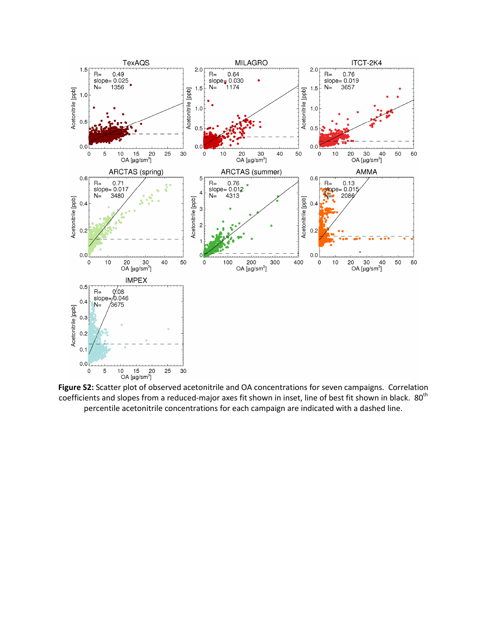

Figure S2: Scatter plot of observed acetonitrile and OA concentrations for seven campaigns. Correlation coefficients and slopes from a reduced-major axes fit shown in inset, line of best fit shown in black. 80<sup>th</sup> percentile acetonitrile concentrations for each campaign are indicated with a dashed line.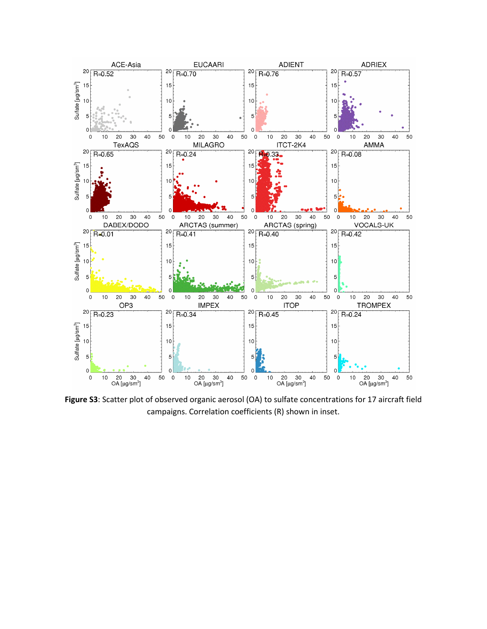

Figure S3: Scatter plot of observed organic aerosol (OA) to sulfate concentrations for 17 aircraft field campaigns. Correlation coefficients (R) shown in inset.